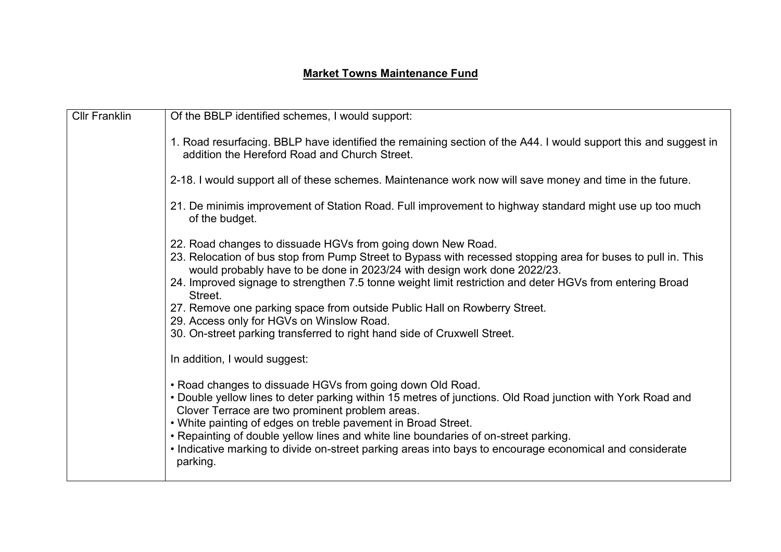## **Market Towns Maintenance Fund**

| <b>Cllr Franklin</b> | Of the BBLP identified schemes, I would support:                                                                                                                                                                                                                                                                                                                                                                                                                                                                                                                                     |
|----------------------|--------------------------------------------------------------------------------------------------------------------------------------------------------------------------------------------------------------------------------------------------------------------------------------------------------------------------------------------------------------------------------------------------------------------------------------------------------------------------------------------------------------------------------------------------------------------------------------|
|                      | 1. Road resurfacing. BBLP have identified the remaining section of the A44. I would support this and suggest in<br>addition the Hereford Road and Church Street.                                                                                                                                                                                                                                                                                                                                                                                                                     |
|                      | 2-18. I would support all of these schemes. Maintenance work now will save money and time in the future.                                                                                                                                                                                                                                                                                                                                                                                                                                                                             |
|                      | 21. De minimis improvement of Station Road. Full improvement to highway standard might use up too much<br>of the budget.                                                                                                                                                                                                                                                                                                                                                                                                                                                             |
|                      | 22. Road changes to dissuade HGVs from going down New Road.<br>23. Relocation of bus stop from Pump Street to Bypass with recessed stopping area for buses to pull in. This<br>would probably have to be done in 2023/24 with design work done 2022/23.<br>24. Improved signage to strengthen 7.5 tonne weight limit restriction and deter HGVs from entering Broad<br>Street.<br>27. Remove one parking space from outside Public Hall on Rowberry Street.<br>29. Access only for HGVs on Winslow Road.<br>30. On-street parking transferred to right hand side of Cruxwell Street. |
|                      | In addition, I would suggest:                                                                                                                                                                                                                                                                                                                                                                                                                                                                                                                                                        |
|                      | • Road changes to dissuade HGVs from going down Old Road.<br>• Double yellow lines to deter parking within 15 metres of junctions. Old Road junction with York Road and<br>Clover Terrace are two prominent problem areas.<br>. White painting of edges on treble pavement in Broad Street.<br>• Repainting of double yellow lines and white line boundaries of on-street parking.<br>• Indicative marking to divide on-street parking areas into bays to encourage economical and considerate<br>parking.                                                                           |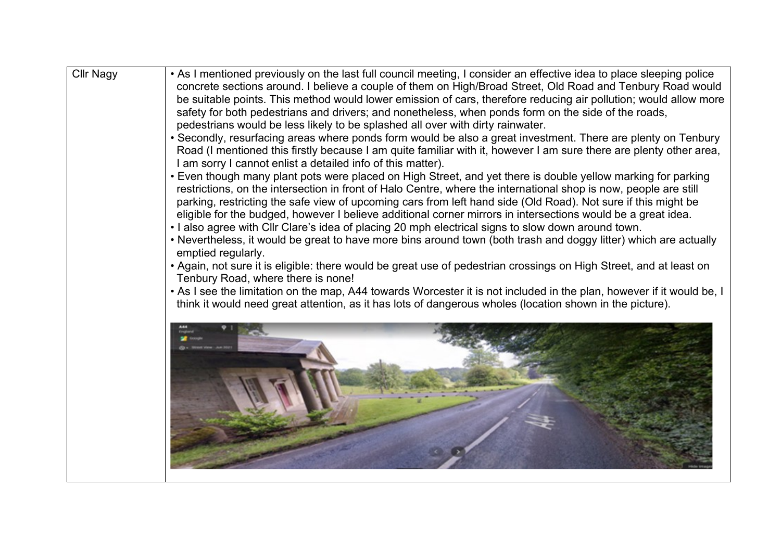| <b>Cllr Nagy</b> | • As I mentioned previously on the last full council meeting, I consider an effective idea to place sleeping police<br>concrete sections around. I believe a couple of them on High/Broad Street, Old Road and Tenbury Road would<br>be suitable points. This method would lower emission of cars, therefore reducing air pollution; would allow more                                                                                                                                                                                                                                                                                                                                                                                                                                                                                   |
|------------------|-----------------------------------------------------------------------------------------------------------------------------------------------------------------------------------------------------------------------------------------------------------------------------------------------------------------------------------------------------------------------------------------------------------------------------------------------------------------------------------------------------------------------------------------------------------------------------------------------------------------------------------------------------------------------------------------------------------------------------------------------------------------------------------------------------------------------------------------|
|                  | safety for both pedestrians and drivers; and nonetheless, when ponds form on the side of the roads,                                                                                                                                                                                                                                                                                                                                                                                                                                                                                                                                                                                                                                                                                                                                     |
|                  | pedestrians would be less likely to be splashed all over with dirty rainwater.                                                                                                                                                                                                                                                                                                                                                                                                                                                                                                                                                                                                                                                                                                                                                          |
|                  | • Secondly, resurfacing areas where ponds form would be also a great investment. There are plenty on Tenbury<br>Road (I mentioned this firstly because I am quite familiar with it, however I am sure there are plenty other area,<br>I am sorry I cannot enlist a detailed info of this matter).                                                                                                                                                                                                                                                                                                                                                                                                                                                                                                                                       |
|                  | • Even though many plant pots were placed on High Street, and yet there is double yellow marking for parking<br>restrictions, on the intersection in front of Halo Centre, where the international shop is now, people are still<br>parking, restricting the safe view of upcoming cars from left hand side (Old Road). Not sure if this might be<br>eligible for the budged, however I believe additional corner mirrors in intersections would be a great idea.<br>. I also agree with Cllr Clare's idea of placing 20 mph electrical signs to slow down around town.<br>• Nevertheless, it would be great to have more bins around town (both trash and doggy litter) which are actually<br>emptied regularly.<br>• Again, not sure it is eligible: there would be great use of pedestrian crossings on High Street, and at least on |
|                  | Tenbury Road, where there is none!                                                                                                                                                                                                                                                                                                                                                                                                                                                                                                                                                                                                                                                                                                                                                                                                      |
|                  | • As I see the limitation on the map, A44 towards Worcester it is not included in the plan, however if it would be, I<br>think it would need great attention, as it has lots of dangerous wholes (location shown in the picture).                                                                                                                                                                                                                                                                                                                                                                                                                                                                                                                                                                                                       |
|                  |                                                                                                                                                                                                                                                                                                                                                                                                                                                                                                                                                                                                                                                                                                                                                                                                                                         |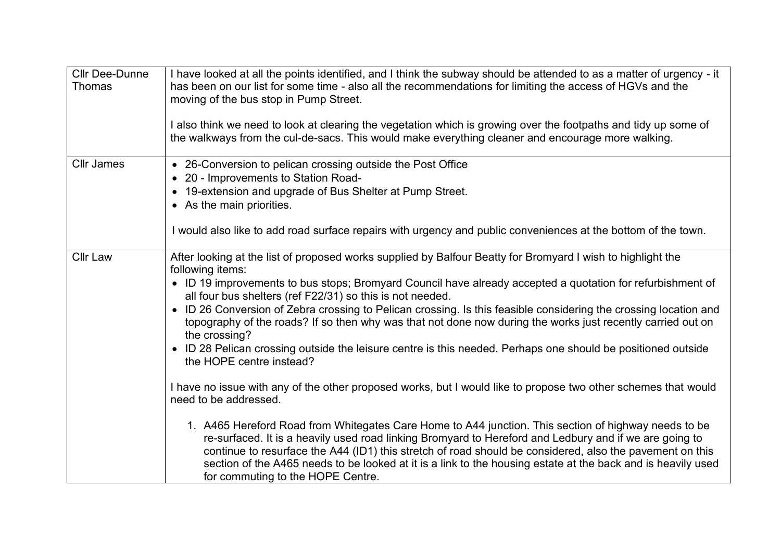| <b>Cllr Dee-Dunne</b><br>Thomas | I have looked at all the points identified, and I think the subway should be attended to as a matter of urgency - it<br>has been on our list for some time - also all the recommendations for limiting the access of HGVs and the<br>moving of the bus stop in Pump Street.<br>I also think we need to look at clearing the vegetation which is growing over the footpaths and tidy up some of<br>the walkways from the cul-de-sacs. This would make everything cleaner and encourage more walking.                                                                                                                                                                                                                                                                                                                                                                                                                                                                                                                                                                                                                                                                                                                                                                                                                                      |
|---------------------------------|------------------------------------------------------------------------------------------------------------------------------------------------------------------------------------------------------------------------------------------------------------------------------------------------------------------------------------------------------------------------------------------------------------------------------------------------------------------------------------------------------------------------------------------------------------------------------------------------------------------------------------------------------------------------------------------------------------------------------------------------------------------------------------------------------------------------------------------------------------------------------------------------------------------------------------------------------------------------------------------------------------------------------------------------------------------------------------------------------------------------------------------------------------------------------------------------------------------------------------------------------------------------------------------------------------------------------------------|
| <b>Cllr James</b>               | • 26-Conversion to pelican crossing outside the Post Office<br>• 20 - Improvements to Station Road-<br>• 19-extension and upgrade of Bus Shelter at Pump Street.<br>• As the main priorities.<br>I would also like to add road surface repairs with urgency and public conveniences at the bottom of the town.                                                                                                                                                                                                                                                                                                                                                                                                                                                                                                                                                                                                                                                                                                                                                                                                                                                                                                                                                                                                                           |
| <b>Cllr Law</b>                 | After looking at the list of proposed works supplied by Balfour Beatty for Bromyard I wish to highlight the<br>following items:<br>• ID 19 improvements to bus stops; Bromyard Council have already accepted a quotation for refurbishment of<br>all four bus shelters (ref F22/31) so this is not needed.<br>• ID 26 Conversion of Zebra crossing to Pelican crossing. Is this feasible considering the crossing location and<br>topography of the roads? If so then why was that not done now during the works just recently carried out on<br>the crossing?<br>• ID 28 Pelican crossing outside the leisure centre is this needed. Perhaps one should be positioned outside<br>the HOPE centre instead?<br>I have no issue with any of the other proposed works, but I would like to propose two other schemes that would<br>need to be addressed.<br>1. A465 Hereford Road from Whitegates Care Home to A44 junction. This section of highway needs to be<br>re-surfaced. It is a heavily used road linking Bromyard to Hereford and Ledbury and if we are going to<br>continue to resurface the A44 (ID1) this stretch of road should be considered, also the pavement on this<br>section of the A465 needs to be looked at it is a link to the housing estate at the back and is heavily used<br>for commuting to the HOPE Centre. |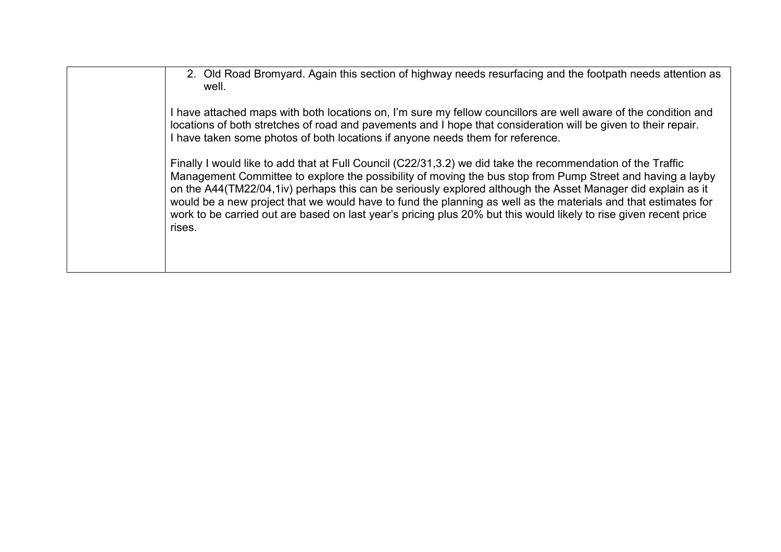| 2. Old Road Bromyard. Again this section of highway needs resurfacing and the footpath needs attention as<br>well.                                                                                                                                                                                                                                                                                                                                                                                                                                                                        |
|-------------------------------------------------------------------------------------------------------------------------------------------------------------------------------------------------------------------------------------------------------------------------------------------------------------------------------------------------------------------------------------------------------------------------------------------------------------------------------------------------------------------------------------------------------------------------------------------|
| I have attached maps with both locations on, I'm sure my fellow councillors are well aware of the condition and<br>locations of both stretches of road and pavements and I hope that consideration will be given to their repair.<br>I have taken some photos of both locations if anyone needs them for reference.                                                                                                                                                                                                                                                                       |
| Finally I would like to add that at Full Council (C22/31,3.2) we did take the recommendation of the Traffic<br>Management Committee to explore the possibility of moving the bus stop from Pump Street and having a layby<br>on the A44(TM22/04,1iv) perhaps this can be seriously explored although the Asset Manager did explain as it<br>would be a new project that we would have to fund the planning as well as the materials and that estimates for<br>work to be carried out are based on last year's pricing plus 20% but this would likely to rise given recent price<br>rises. |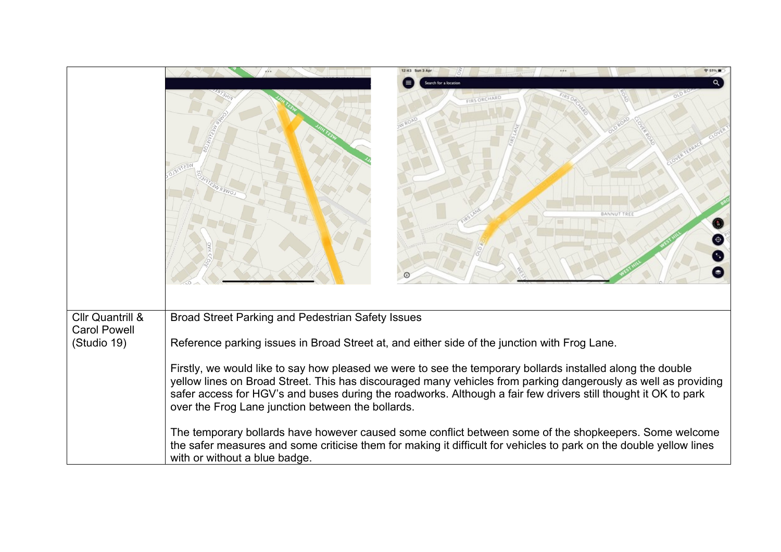|                                                                   |                                                                                                                                                                                                                                                                                                                                                                                                                                                                                                                                                                                                                                                                                                                                                                                                                           | <b>BANNUT</b> |  |
|-------------------------------------------------------------------|---------------------------------------------------------------------------------------------------------------------------------------------------------------------------------------------------------------------------------------------------------------------------------------------------------------------------------------------------------------------------------------------------------------------------------------------------------------------------------------------------------------------------------------------------------------------------------------------------------------------------------------------------------------------------------------------------------------------------------------------------------------------------------------------------------------------------|---------------|--|
| <b>Cllr Quantrill &amp;</b><br><b>Carol Powell</b><br>(Studio 19) | Broad Street Parking and Pedestrian Safety Issues<br>Reference parking issues in Broad Street at, and either side of the junction with Frog Lane.<br>Firstly, we would like to say how pleased we were to see the temporary bollards installed along the double<br>yellow lines on Broad Street. This has discouraged many vehicles from parking dangerously as well as providing<br>safer access for HGV's and buses during the roadworks. Although a fair few drivers still thought it OK to park<br>over the Frog Lane junction between the bollards.<br>The temporary bollards have however caused some conflict between some of the shopkeepers. Some welcome<br>the safer measures and some criticise them for making it difficult for vehicles to park on the double yellow lines<br>with or without a blue badge. |               |  |